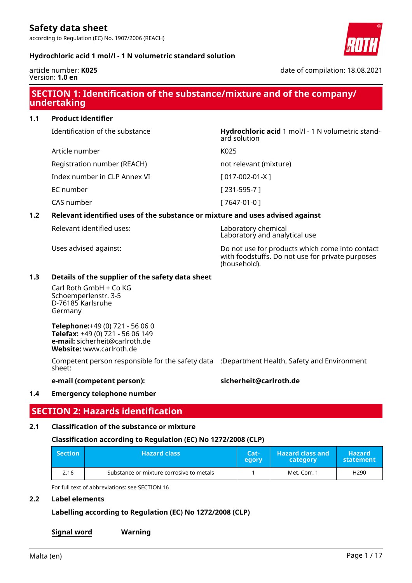according to Regulation (EC) No. 1907/2006 (REACH)



### **Hydrochloric acid 1 mol/l - 1 N volumetric standard solution**

Article number K025

article number: **K025** Version: **1.0 en**

date of compilation: 18.08.2021

# **SECTION 1: Identification of the substance/mixture and of the company/ undertaking**

ard solution

**1.1 Product identifier**

Identification of the substance **Hydrochloric acid** 1 mol/l - 1 N volumetric stand-

Registration number (REACH) not relevant (mixture)

Index number in CLP Annex VI [ 017-002-01-X ]

EC number [ 231-595-7 ]

CAS number [ 7647-01-0 ]

### **1.2 Relevant identified uses of the substance or mixture and uses advised against**

Relevant identified uses: Laboratory chemical

Uses advised against: Do not use for products which come into contact with foodstuffs. Do not use for private purposes (household).

Laboratory and analytical use

### **1.3 Details of the supplier of the safety data sheet**

Carl Roth GmbH + Co KG Schoemperlenstr. 3-5 D-76185 Karlsruhe Germany

**Telephone:**+49 (0) 721 - 56 06 0 **Telefax:** +49 (0) 721 - 56 06 149 **e-mail:** sicherheit@carlroth.de **Website:** www.carlroth.de

Competent person responsible for the safety data :Department Health, Safety and Environment sheet:

### **e-mail (competent person): sicherheit@carlroth.de**

### **1.4 Emergency telephone number**

### **SECTION 2: Hazards identification**

### **2.1 Classification of the substance or mixture**

### **Classification according to Regulation (EC) No 1272/2008 (CLP)**

| $\blacksquare$ Section | <b>Hazard class</b>                      | Cat-<br>egory | <b>Hazard class and</b><br>category | <b>Hazard</b> '<br>statement |
|------------------------|------------------------------------------|---------------|-------------------------------------|------------------------------|
| 2.16                   | Substance or mixture corrosive to metals |               | Met. Corr. 1                        | H <sub>290</sub>             |

For full text of abbreviations: see SECTION 16

### **2.2 Label elements**

### **Labelling according to Regulation (EC) No 1272/2008 (CLP)**

**Signal word Warning**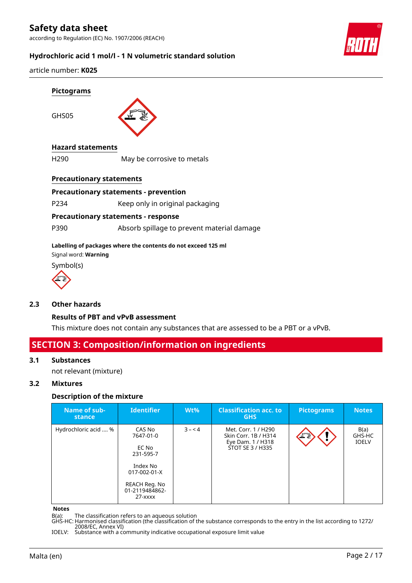

### **Hydrochloric acid 1 mol/l - 1 N volumetric standard solution**

article number: **K025**

GHS05



### **Hazard statements**

H290 May be corrosive to metals

### **Precautionary statements**

### **Precautionary statements - prevention**

P234 Keep only in original packaging

### **Precautionary statements - response**

P390 Absorb spillage to prevent material damage

### **Labelling of packages where the contents do not exceed 125 ml**

Signal word: **Warning**





### **2.3 Other hazards**

### **Results of PBT and vPvB assessment**

This mixture does not contain any substances that are assessed to be a PBT or a vPvB.

### **SECTION 3: Composition/information on ingredients**

### **3.1 Substances**

not relevant (mixture)

### **3.2 Mixtures**

### **Description of the mixture**

| Name of sub-<br>stance | <b>Identifier</b>                                                                                                                 | $Wt\%$  | <b>Classification acc. to</b><br><b>GHS</b>                                          | <b>Pictograms</b> | <b>Notes</b>                   |
|------------------------|-----------------------------------------------------------------------------------------------------------------------------------|---------|--------------------------------------------------------------------------------------|-------------------|--------------------------------|
| Hydrochloric acid  %   | CAS No<br>7647-01-0<br>EC No<br>231-595-7<br>Index No<br>$017 - 002 - 01 - X$<br>REACH Reg. No<br>01-2119484862-<br>$27 - x$ $xx$ | $3 - 4$ | Met. Corr. 1 / H290<br>Skin Corr. 1B / H314<br>Eye Dam. 1 / H318<br>STOT SE 3 / H335 | 工業                | B(a)<br>GHS-HC<br><b>IOELV</b> |

#### **Notes**

B(a): The classification refers to an aqueous solution

GHS-HC: Harmonised classification (the classification of the substance corresponds to the entry in the list according to 1272/ 2008/EC, Annex VI)

IOELV: Substance with a community indicative occupational exposure limit value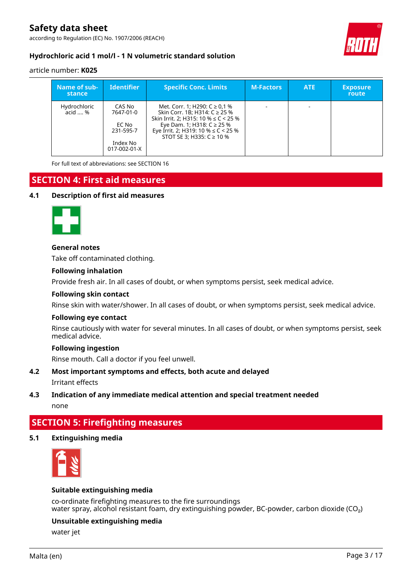according to Regulation (EC) No. 1907/2006 (REACH)



### **Hydrochloric acid 1 mol/l - 1 N volumetric standard solution**

### article number: **K025**

| Name of sub-<br>stance  | Identifier                                                            | <b>Specific Conc. Limits</b>                                                                                                                                                                                                  | <b>M-Factors</b> | <b>ATE</b> | <b>Exposure</b><br><b>route</b> |
|-------------------------|-----------------------------------------------------------------------|-------------------------------------------------------------------------------------------------------------------------------------------------------------------------------------------------------------------------------|------------------|------------|---------------------------------|
| Hydrochloric<br>acid  % | CAS No<br>7647-01-0<br>EC No<br>231-595-7<br>Index No<br>017-002-01-X | Met. Corr. 1; H290: $C \ge 0.1$ %<br>Skin Corr. 1B; H314: C ≥ 25 %<br>Skin Irrit. 2: H315: 10 % $\leq$ C < 25 %<br>Eye Dam. 1; H318: $C \ge 25%$<br>Eye Irrit. 2; H319: 10 % $\leq$ C < 25 %<br>STOT SE 3: H335: $C \ge 10\%$ |                  |            |                                 |

For full text of abbreviations: see SECTION 16

# **SECTION 4: First aid measures**

### **4.1 Description of first aid measures**



### **General notes**

Take off contaminated clothing.

### **Following inhalation**

Provide fresh air. In all cases of doubt, or when symptoms persist, seek medical advice.

#### **Following skin contact**

Rinse skin with water/shower. In all cases of doubt, or when symptoms persist, seek medical advice.

#### **Following eye contact**

Rinse cautiously with water for several minutes. In all cases of doubt, or when symptoms persist, seek medical advice.

#### **Following ingestion**

Rinse mouth. Call a doctor if you feel unwell.

### **4.2 Most important symptoms and effects, both acute and delayed**

Irritant effects

### **4.3 Indication of any immediate medical attention and special treatment needed**

none

# **SECTION 5: Firefighting measures**

### **5.1 Extinguishing media**



### **Suitable extinguishing media**

co-ordinate firefighting measures to the fire surroundings water spray, alcohol resistant foam, dry extinguishing powder, BC-powder, carbon dioxide (CO<sub>2</sub>)

### **Unsuitable extinguishing media**

water jet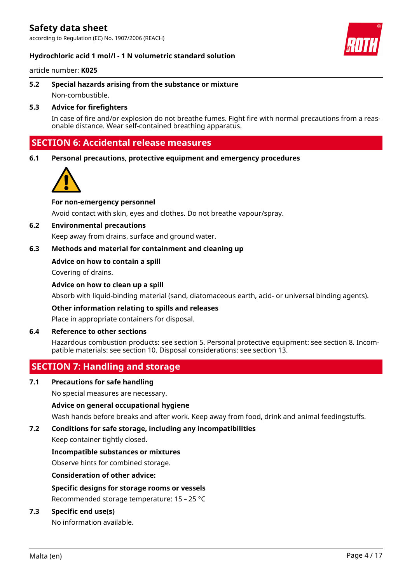according to Regulation (EC) No. 1907/2006 (REACH)



### **Hydrochloric acid 1 mol/l - 1 N volumetric standard solution**

article number: **K025**

**5.2 Special hazards arising from the substance or mixture** Non-combustible.

### **5.3 Advice for firefighters**

In case of fire and/or explosion do not breathe fumes. Fight fire with normal precautions from a reasonable distance. Wear self-contained breathing apparatus.

### **SECTION 6: Accidental release measures**

**6.1 Personal precautions, protective equipment and emergency procedures**



### **For non-emergency personnel**

Avoid contact with skin, eyes and clothes. Do not breathe vapour/spray.

### **6.2 Environmental precautions**

Keep away from drains, surface and ground water.

### **6.3 Methods and material for containment and cleaning up**

### **Advice on how to contain a spill**

Covering of drains.

### **Advice on how to clean up a spill**

Absorb with liquid-binding material (sand, diatomaceous earth, acid- or universal binding agents).

#### **Other information relating to spills and releases**

Place in appropriate containers for disposal.

### **6.4 Reference to other sections**

Hazardous combustion products: see section 5. Personal protective equipment: see section 8. Incompatible materials: see section 10. Disposal considerations: see section 13.

### **SECTION 7: Handling and storage**

### **7.1 Precautions for safe handling**

No special measures are necessary.

### **Advice on general occupational hygiene**

Wash hands before breaks and after work. Keep away from food, drink and animal feedingstuffs.

### **7.2 Conditions for safe storage, including any incompatibilities**

Keep container tightly closed.

#### **Incompatible substances or mixtures**

Observe hints for combined storage.

**Consideration of other advice:**

### **Specific designs for storage rooms or vessels**

Recommended storage temperature: 15 – 25 °C

### **7.3 Specific end use(s)**

No information available.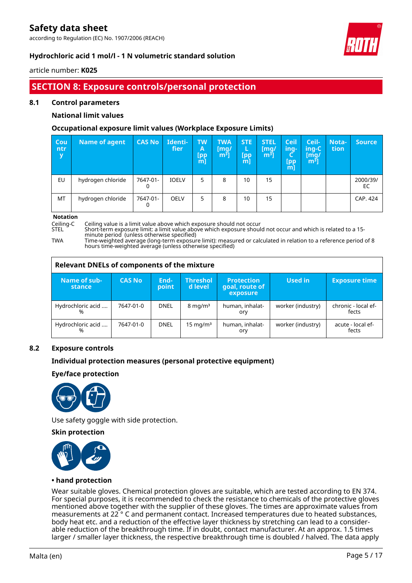according to Regulation (EC) No. 1907/2006 (REACH)



### **Hydrochloric acid 1 mol/l - 1 N volumetric standard solution**

article number: **K025**

# **SECTION 8: Exposure controls/personal protection**

### **8.1 Control parameters**

### **National limit values**

### **Occupational exposure limit values (Workplace Exposure Limits)**

| <b>Cou</b><br>ntr<br>y | <b>Name of agent</b> | <b>CAS No</b> | Identi-<br>fier | <b>TW</b><br>A<br>[pp<br>ml | <b>TWA</b><br>[mq/<br>$\left[\mathsf{m}^{\bar{\mathsf{3}}}\right]$ | <b>STE</b><br>L<br>[pp<br>$m$ ] | <b>STEL</b><br>[mq/<br>m <sup>3</sup> | <b>Ceil</b><br>ing-<br>[pp]<br>m | Ceil-<br>ing-C<br>[mg/<br>$\mathsf{m}^{\mathsf{s}}$ ] | <b>Nota-</b><br>tion | <b>Source</b>  |
|------------------------|----------------------|---------------|-----------------|-----------------------------|--------------------------------------------------------------------|---------------------------------|---------------------------------------|----------------------------------|-------------------------------------------------------|----------------------|----------------|
| EU                     | hydrogen chloride    | 7647-01-      | <b>IOELV</b>    | 5                           | 8                                                                  | 10                              | 15                                    |                                  |                                                       |                      | 2000/39/<br>EC |
| MT                     | hydrogen chloride    | 7647-01-      | <b>OELV</b>     | 5                           | 8                                                                  | 10                              | 15                                    |                                  |                                                       |                      | CAP. 424       |

**Notation**<br>Ceiling-C

Ceiling-C Ceiling value is a limit value above which exposure should not occur

Short-term exposure limit: a limit value above which exposure should not occur and which is related to a 15minute period (unless otherwise specified)

TWA Time-weighted average (long-term exposure limit): measured or calculated in relation to a reference period of 8 hours time-weighted average (unless otherwise specified)

| <b>Relevant DNELs of components of the mixture</b> |               |               |                            |                                                 |                   |                              |  |  |  |
|----------------------------------------------------|---------------|---------------|----------------------------|-------------------------------------------------|-------------------|------------------------------|--|--|--|
| Name of sub-<br><b>stance</b>                      | <b>CAS No</b> | End-<br>point | <b>Threshol</b><br>d level | <b>Protection</b><br>goal, route of<br>exposure | Used in           | <b>Exposure time</b>         |  |  |  |
| Hydrochloric acid<br>%                             | 7647-01-0     | <b>DNEL</b>   | $8 \text{ mg/m}^3$         | human, inhalat-<br>ory                          | worker (industry) | chronic - local ef-<br>fects |  |  |  |
| Hydrochloric acid<br>%                             | 7647-01-0     | <b>DNEL</b>   | $15 \text{ mg/m}^3$        | human, inhalat-<br>ory                          | worker (industry) | acute - local ef-<br>fects   |  |  |  |

### **8.2 Exposure controls**

### **Individual protection measures (personal protective equipment)**

### **Eye/face protection**



Use safety goggle with side protection.

### **Skin protection**



### **• hand protection**

Wear suitable gloves. Chemical protection gloves are suitable, which are tested according to EN 374. For special purposes, it is recommended to check the resistance to chemicals of the protective gloves mentioned above together with the supplier of these gloves. The times are approximate values from measurements at 22 ° C and permanent contact. Increased temperatures due to heated substances, body heat etc. and a reduction of the effective layer thickness by stretching can lead to a considerable reduction of the breakthrough time. If in doubt, contact manufacturer. At an approx. 1.5 times larger / smaller layer thickness, the respective breakthrough time is doubled / halved. The data apply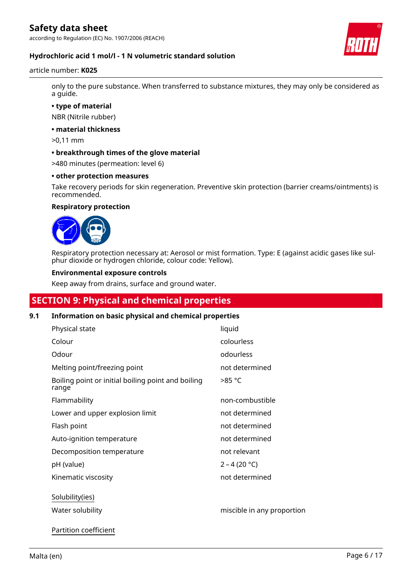

### **Hydrochloric acid 1 mol/l - 1 N volumetric standard solution**

### article number: **K025**

only to the pure substance. When transferred to substance mixtures, they may only be considered as a guide.

**• type of material**

NBR (Nitrile rubber)

**• material thickness**

>0,11 mm

**• breakthrough times of the glove material**

>480 minutes (permeation: level 6)

### **• other protection measures**

Take recovery periods for skin regeneration. Preventive skin protection (barrier creams/ointments) is recommended.

### **Respiratory protection**



Respiratory protection necessary at: Aerosol or mist formation. Type: E (against acidic gases like sulphur dioxide or hydrogen chloride, colour code: Yellow).

### **Environmental exposure controls**

Keep away from drains, surface and ground water.

## **SECTION 9: Physical and chemical properties**

### **9.1 Information on basic physical and chemical properties**

| Physical state                                              | liquid                     |
|-------------------------------------------------------------|----------------------------|
| Colour                                                      | colourless                 |
| Odour                                                       | odourless                  |
| Melting point/freezing point                                | not determined             |
| Boiling point or initial boiling point and boiling<br>range | >85 °C                     |
| Flammability                                                | non-combustible            |
| Lower and upper explosion limit                             | not determined             |
| Flash point                                                 | not determined             |
| Auto-ignition temperature                                   | not determined             |
| Decomposition temperature                                   | not relevant               |
| pH (value)                                                  | $2 - 4 (20 °C)$            |
| Kinematic viscosity                                         | not determined             |
| Solubility(ies)                                             |                            |
| Water solubility                                            | miscible in any proportion |
|                                                             |                            |

Partition coefficient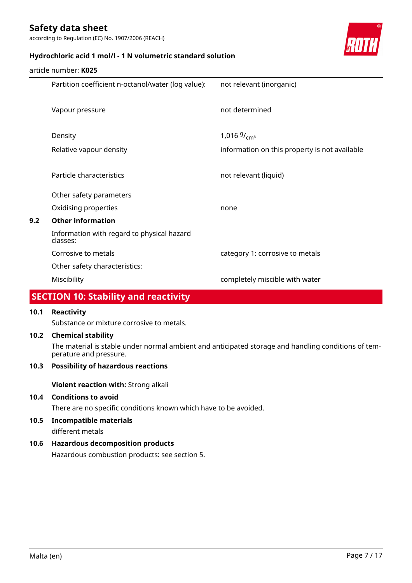according to Regulation (EC) No. 1907/2006 (REACH)



### **Hydrochloric acid 1 mol/l - 1 N volumetric standard solution**

|     | article number: <b>K025</b>                            |                                               |
|-----|--------------------------------------------------------|-----------------------------------------------|
|     | Partition coefficient n-octanol/water (log value):     | not relevant (inorganic)                      |
|     |                                                        |                                               |
|     | Vapour pressure                                        | not determined                                |
|     |                                                        |                                               |
|     | Density                                                | 1,016 $9/_{cm^3}$                             |
|     | Relative vapour density                                | information on this property is not available |
|     |                                                        |                                               |
|     | Particle characteristics                               | not relevant (liquid)                         |
|     | Other safety parameters                                |                                               |
|     | Oxidising properties                                   | none                                          |
| 9.2 | <b>Other information</b>                               |                                               |
|     | Information with regard to physical hazard<br>classes: |                                               |
|     | Corrosive to metals                                    | category 1: corrosive to metals               |
|     | Other safety characteristics:                          |                                               |
|     | Miscibility                                            | completely miscible with water                |
|     |                                                        |                                               |

### **SECTION 10: Stability and reactivity**

### **10.1 Reactivity**

Substance or mixture corrosive to metals.

### **10.2 Chemical stability**

The material is stable under normal ambient and anticipated storage and handling conditions of temperature and pressure.

### **10.3 Possibility of hazardous reactions**

**Violent reaction with:** Strong alkali

### **10.4 Conditions to avoid**

There are no specific conditions known which have to be avoided.

**10.5 Incompatible materials**

### different metals

### **10.6 Hazardous decomposition products**

Hazardous combustion products: see section 5.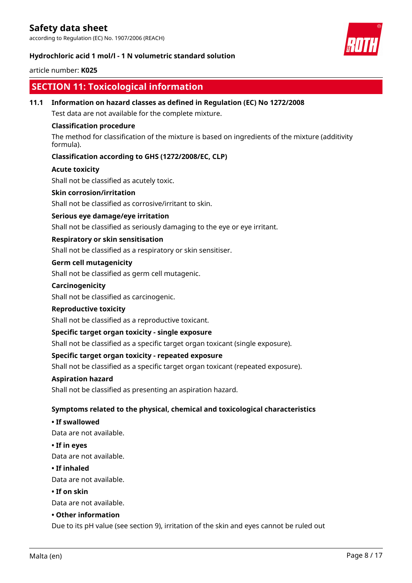according to Regulation (EC) No. 1907/2006 (REACH)



### **Hydrochloric acid 1 mol/l - 1 N volumetric standard solution**

### article number: **K025**

### **SECTION 11: Toxicological information**

**11.1 Information on hazard classes as defined in Regulation (EC) No 1272/2008** Test data are not available for the complete mixture. **Classification procedure** The method for classification of the mixture is based on ingredients of the mixture (additivity formula). **Classification according to GHS (1272/2008/EC, CLP) Acute toxicity** Shall not be classified as acutely toxic. **Skin corrosion/irritation** Shall not be classified as corrosive/irritant to skin. **Serious eye damage/eye irritation** Shall not be classified as seriously damaging to the eye or eye irritant. **Respiratory or skin sensitisation** Shall not be classified as a respiratory or skin sensitiser. **Germ cell mutagenicity** Shall not be classified as germ cell mutagenic. **Carcinogenicity** Shall not be classified as carcinogenic. **Reproductive toxicity** Shall not be classified as a reproductive toxicant. **Specific target organ toxicity - single exposure** Shall not be classified as a specific target organ toxicant (single exposure). **Specific target organ toxicity - repeated exposure** Shall not be classified as a specific target organ toxicant (repeated exposure). **Aspiration hazard** Shall not be classified as presenting an aspiration hazard. **Symptoms related to the physical, chemical and toxicological characteristics • If swallowed** Data are not available. **• If in eyes** Data are not available. **• If inhaled** Data are not available. **• If on skin** Data are not available. **• Other information** Due to its pH value (see section 9), irritation of the skin and eyes cannot be ruled out Malta (en) Page 8 / 17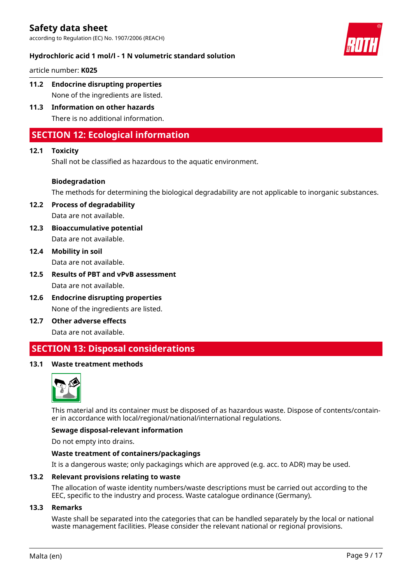

### **Hydrochloric acid 1 mol/l - 1 N volumetric standard solution**

article number: **K025**

- **11.2 Endocrine disrupting properties** None of the ingredients are listed.
- **11.3 Information on other hazards** There is no additional information.

# **SECTION 12: Ecological information**

### **12.1 Toxicity**

Shall not be classified as hazardous to the aquatic environment.

### **Biodegradation**

The methods for determining the biological degradability are not applicable to inorganic substances.

**12.2 Process of degradability** Data are not available.

- **12.3 Bioaccumulative potential** Data are not available.
- **12.4 Mobility in soil** Data are not available.
- **12.5 Results of PBT and vPvB assessment** Data are not available.
- **12.6 Endocrine disrupting properties** None of the ingredients are listed.
- **12.7 Other adverse effects** Data are not available.

# **SECTION 13: Disposal considerations**

### **13.1 Waste treatment methods**



This material and its container must be disposed of as hazardous waste. Dispose of contents/container in accordance with local/regional/national/international regulations.

### **Sewage disposal-relevant information**

Do not empty into drains.

### **Waste treatment of containers/packagings**

It is a dangerous waste; only packagings which are approved (e.g. acc. to ADR) may be used.

#### **13.2 Relevant provisions relating to waste**

The allocation of waste identity numbers/waste descriptions must be carried out according to the EEC, specific to the industry and process. Waste catalogue ordinance (Germany).

### **13.3 Remarks**

Waste shall be separated into the categories that can be handled separately by the local or national waste management facilities. Please consider the relevant national or regional provisions.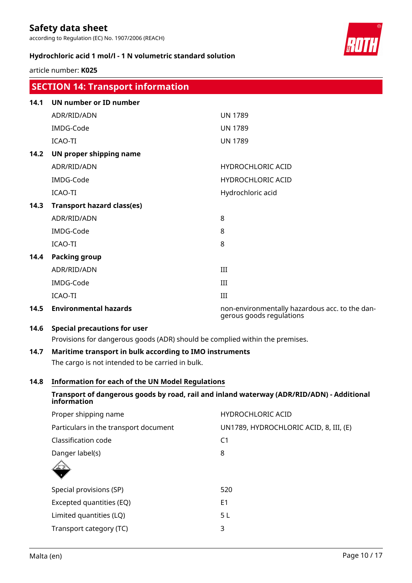according to Regulation (EC) No. 1907/2006 (REACH)



### **Hydrochloric acid 1 mol/l - 1 N volumetric standard solution**

article number: **K025**

|      | <b>SECTION 14: Transport information</b>                                                  |                                                                            |  |  |  |  |
|------|-------------------------------------------------------------------------------------------|----------------------------------------------------------------------------|--|--|--|--|
| 14.1 | UN number or ID number                                                                    |                                                                            |  |  |  |  |
|      | ADR/RID/ADN                                                                               | <b>UN 1789</b>                                                             |  |  |  |  |
|      | IMDG-Code                                                                                 | <b>UN 1789</b>                                                             |  |  |  |  |
|      | ICAO-TI                                                                                   | <b>UN 1789</b>                                                             |  |  |  |  |
| 14.2 | UN proper shipping name                                                                   |                                                                            |  |  |  |  |
|      | ADR/RID/ADN                                                                               | <b>HYDROCHLORIC ACID</b>                                                   |  |  |  |  |
|      | IMDG-Code                                                                                 | <b>HYDROCHLORIC ACID</b>                                                   |  |  |  |  |
|      | ICAO-TI                                                                                   | Hydrochloric acid                                                          |  |  |  |  |
| 14.3 | <b>Transport hazard class(es)</b>                                                         |                                                                            |  |  |  |  |
|      | ADR/RID/ADN                                                                               | 8                                                                          |  |  |  |  |
|      | IMDG-Code                                                                                 | 8                                                                          |  |  |  |  |
|      | <b>ICAO-TI</b>                                                                            | 8                                                                          |  |  |  |  |
| 14.4 | <b>Packing group</b>                                                                      |                                                                            |  |  |  |  |
|      | ADR/RID/ADN                                                                               | III                                                                        |  |  |  |  |
|      | IMDG-Code                                                                                 | III                                                                        |  |  |  |  |
|      | <b>ICAO-TI</b>                                                                            | III                                                                        |  |  |  |  |
| 14.5 | <b>Environmental hazards</b>                                                              | non-environmentally hazardous acc. to the dan-<br>gerous goods regulations |  |  |  |  |
| 14.6 | <b>Special precautions for user</b>                                                       |                                                                            |  |  |  |  |
|      | Provisions for dangerous goods (ADR) should be complied within the premises.              |                                                                            |  |  |  |  |
| 14.7 | Maritime transport in bulk according to IMO instruments                                   |                                                                            |  |  |  |  |
|      | The cargo is not intended to be carried in bulk.                                          |                                                                            |  |  |  |  |
| 14.8 | <b>Information for each of the UN Model Regulations</b>                                   |                                                                            |  |  |  |  |
|      | Transport of dangerous goods by road, rail and inland waterway (ADR/RID/ADN) - Additional |                                                                            |  |  |  |  |

# **information** Proper shipping name **HYDROCHLORIC ACID** Particulars in the transport document UN1789, HYDROCHLORIC ACID, 8, III, (E)

| Classification code      | C <sub>1</sub> |
|--------------------------|----------------|
| Danger label(s)          | 8              |
| 业                        |                |
| Special provisions (SP)  | 520            |
| Excepted quantities (EQ) | E <sub>1</sub> |
| Limited quantities (LQ)  | 5 L            |
| Transport category (TC)  | 3              |
|                          |                |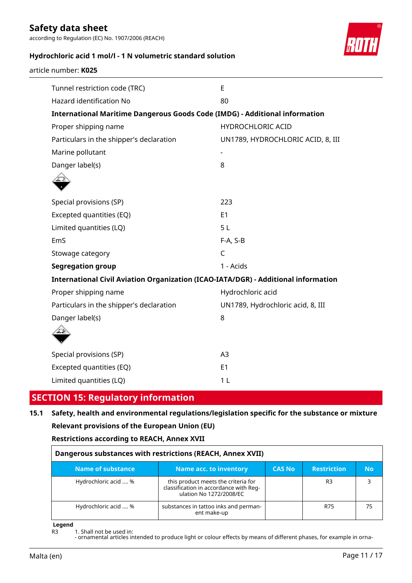according to Regulation (EC) No. 1907/2006 (REACH)



### **Hydrochloric acid 1 mol/l - 1 N volumetric standard solution**

| Tunnel restriction code (TRC)                                                      | E                                 |
|------------------------------------------------------------------------------------|-----------------------------------|
| Hazard identification No                                                           | 80                                |
| <b>International Maritime Dangerous Goods Code (IMDG) - Additional information</b> |                                   |
| Proper shipping name                                                               | HYDROCHLORIC ACID                 |
| Particulars in the shipper's declaration                                           | UN1789, HYDROCHLORIC ACID, 8, III |
| Marine pollutant                                                                   |                                   |
| Danger label(s)                                                                    | 8                                 |
|                                                                                    |                                   |
|                                                                                    |                                   |
| Special provisions (SP)                                                            | 223                               |
| Excepted quantities (EQ)                                                           | E1                                |
| Limited quantities (LQ)                                                            | 5L                                |
| EmS                                                                                | F-A, S-B                          |
| Stowage category                                                                   | $\mathsf{C}$                      |
| <b>Segregation group</b>                                                           | 1 - Acids                         |
| International Civil Aviation Organization (ICAO-IATA/DGR) - Additional information |                                   |
| Proper shipping name                                                               | Hydrochloric acid                 |
| Particulars in the shipper's declaration                                           | UN1789, Hydrochloric acid, 8, III |
| Danger label(s)                                                                    | 8                                 |
|                                                                                    |                                   |
|                                                                                    |                                   |
| Special provisions (SP)                                                            | A <sub>3</sub>                    |
| Excepted quantities (EQ)                                                           | E <sub>1</sub>                    |
| Limited quantities (LQ)                                                            | 1 <sub>L</sub>                    |

## **SECTION 15: Regulatory information**

# **15.1 Safety, health and environmental regulations/legislation specific for the substance or mixture Relevant provisions of the European Union (EU)**

**Restrictions according to REACH, Annex XVII**

| Dangerous substances with restrictions (REACH, Annex XVII)                                             |                                                                                                          |  |     |    |  |  |  |  |  |
|--------------------------------------------------------------------------------------------------------|----------------------------------------------------------------------------------------------------------|--|-----|----|--|--|--|--|--|
| <b>Name of substance</b><br><b>Restriction</b><br><b>Name acc. to inventory</b><br><b>CAS No</b><br>Nο |                                                                                                          |  |     |    |  |  |  |  |  |
| Hydrochloric acid  %                                                                                   | this product meets the criteria for<br>classification in accordance with Reg-<br>ulation No 1272/2008/EC |  | R3  |    |  |  |  |  |  |
| Hydrochloric acid  %                                                                                   | substances in tattoo inks and perman-<br>ent make-up                                                     |  | R75 | 75 |  |  |  |  |  |

**Legend**

R3 1. Shall not be used in: - ornamental articles intended to produce light or colour effects by means of different phases, for example in orna-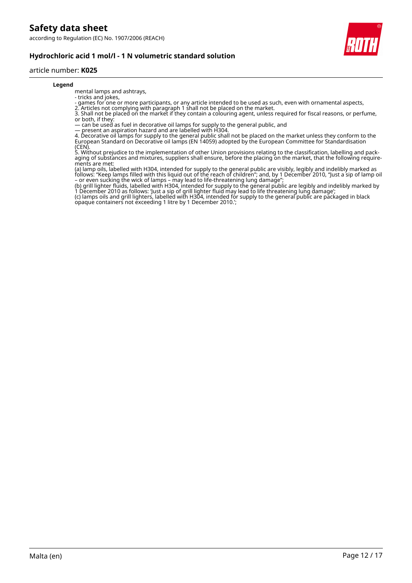

### **Hydrochloric acid 1 mol/l - 1 N volumetric standard solution**

### article number: **K025**

#### **Legend**

mental lamps and ashtrays, - tricks and jokes,

- games for one or more participants, or any article intended to be used as such, even with ornamental aspects,

2. Articles not complying with paragraph 1 shall not be placed on the market.

3. Shall not be placed on the market if they contain a colouring agent, unless required for fiscal reasons, or perfume, or both, if they:

— can be used as fuel in decorative oil lamps for supply to the general public, and

— present an aspiration hazard and are labelled with H304.

4. Decorative oil lamps for supply to the general public shall not be placed on the market unless they conform to the European Standard on Decorative oil lamps (EN 14059) adopted by the European Committee for Standardisation (CEN).

5. Without prejudice to the implementation of other Union provisions relating to the classification, labelling and packaging of substances and mixtures, suppliers shall ensure, before the placing on the market, that the following requirements are met:

(a) lamp oils, labelled with H304, intended for supply to the general public are visibly, legibly and indelibly marked as follows: "Keep lamps filled with this liquid out of the reach of children"; and, by 1 December 2010, "Just a sip of lamp oil – or even sucking the wick of lamps – may lead to life-threatening lung damage";

(b) grill lighter fluids, labelled with H304, intended for supply to the general public are legibly and indelibly marked by 1 December 2010 as follows: 'Just a sip of grill lighter fluid may lead to life threatening lung damage'; (c) lamps oils and grill lighters, labelled with H304, intended for supply to the general public are packaged in black opaque containers not exceeding 1 litre by 1 December 2010.';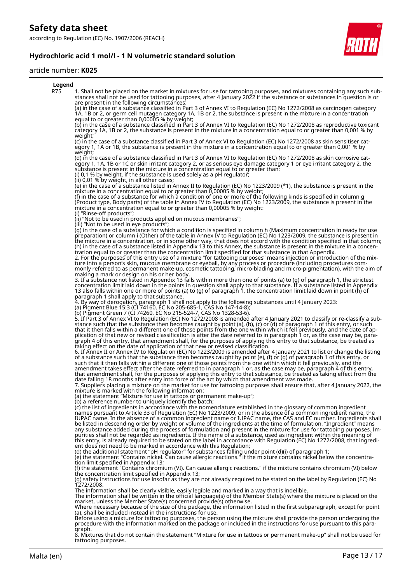

### **Hydrochloric acid 1 mol/l - 1 N volumetric standard solution**

#### article number: **K025**

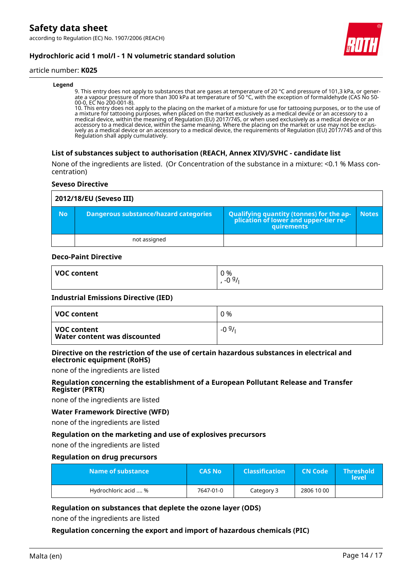### **Hydrochloric acid 1 mol/l - 1 N volumetric standard solution**

### article number: **K025**

#### **Legend**

9. This entry does not apply to substances that are gases at temperature of 20 °C and pressure of 101,3 kPa, or generate a vapour pressure of more than 300 kPa at temperature of 50 °C, with the exception of formaldehyde (CAS No 50- 00-0, EC No 200-001-8).

10. This entry does not apply to the placing on the market of a mixture for use for tattooing purposes, or to the use of a mixture for tattooing purposes, when placed on the market exclusively as a medical device or an accessory to a medical device, within the meaning of Regulation (EU) 2017/745, or when used exclusively as a medical device or an accessory to a medical device, within the same meaning. Where the placing on the market or use may not be exclusively as a medical device or an accessory to a medical device, the requirements of Regulation (EU) 2017/745 and of this Regulation shall apply cumulatively.

### **List of substances subject to authorisation (REACH, Annex XIV)/SVHC - candidate list**

None of the ingredients are listed. (Or Concentration of the substance in a mixture: <0.1 % Mass concentration)

#### **Seveso Directive**

| 2012/18/EU (Seveso III) |                                              |                                                                                            |              |
|-------------------------|----------------------------------------------|--------------------------------------------------------------------------------------------|--------------|
| <b>No</b>               | <b>Dangerous substance/hazard categories</b> | Qualifying quantity (tonnes) for the application of lower and upper-tier re-<br>quirements | <b>Notes</b> |
|                         | not assigned                                 |                                                                                            |              |

#### **Deco-Paint Directive**

| <b>VOC content</b> | 0 %<br>0.91 |
|--------------------|-------------|
|                    | -u          |

#### **Industrial Emissions Directive (IED)**

| VOC content                                 | $0\%$   |
|---------------------------------------------|---------|
| VOC content<br>Water content was discounted | $-0.9/$ |

### **Directive on the restriction of the use of certain hazardous substances in electrical and electronic equipment (RoHS)**

none of the ingredients are listed

### **Regulation concerning the establishment of a European Pollutant Release and Transfer Register (PRTR)**

none of the ingredients are listed

### **Water Framework Directive (WFD)**

none of the ingredients are listed

### **Regulation on the marketing and use of explosives precursors**

none of the ingredients are listed

#### **Regulation on drug precursors**

| Name of substance    | <b>CAS No</b> | <b>Classification</b> | <b>CN Code</b> | <b>Threshold</b><br>level |
|----------------------|---------------|-----------------------|----------------|---------------------------|
| Hydrochloric acid  % | 7647-01-0     | Category 3            | 2806 10 00     |                           |

### **Regulation on substances that deplete the ozone layer (ODS)**

none of the ingredients are listed

### **Regulation concerning the export and import of hazardous chemicals (PIC)**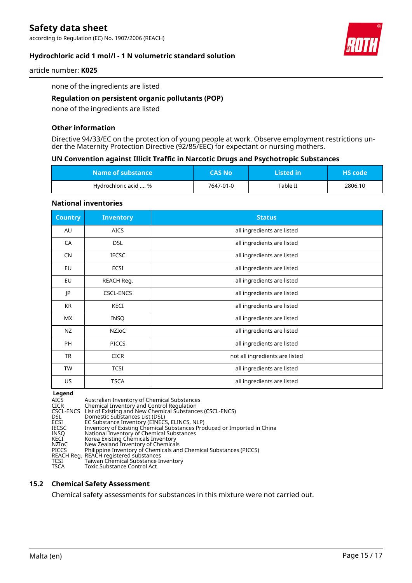according to Regulation (EC) No. 1907/2006 (REACH)



### **Hydrochloric acid 1 mol/l - 1 N volumetric standard solution**

article number: **K025**

none of the ingredients are listed

### **Regulation on persistent organic pollutants (POP)**

none of the ingredients are listed

### **Other information**

Directive 94/33/EC on the protection of young people at work. Observe employment restrictions under the Maternity Protection Directive (92/85/EEC) for expectant or nursing mothers.

### **UN Convention against Illicit Traffic in Narcotic Drugs and Psychotropic Substances**

| Name of substance    | <b>CAS No</b> | Listed in | $\mathsf{I}\mathsf{H}\mathsf{S}\ \mathsf{code}$ |
|----------------------|---------------|-----------|-------------------------------------------------|
| Hydrochloric acid  % | 7647-01-0     | Table II  | 2806.10                                         |

#### **National inventories**

| <b>Country</b> | <b>Inventory</b> | <b>Status</b>                  |
|----------------|------------------|--------------------------------|
| AU             | <b>AICS</b>      | all ingredients are listed     |
| CA             | <b>DSL</b>       | all ingredients are listed     |
| <b>CN</b>      | <b>IECSC</b>     | all ingredients are listed     |
| EU             | ECSI             | all ingredients are listed     |
| EU             | REACH Reg.       | all ingredients are listed     |
| JP             | <b>CSCL-ENCS</b> | all ingredients are listed     |
| <b>KR</b>      | KECI             | all ingredients are listed     |
| <b>MX</b>      | INSQ             | all ingredients are listed     |
| NZ             | <b>NZIOC</b>     | all ingredients are listed     |
| PH             | <b>PICCS</b>     | all ingredients are listed     |
| <b>TR</b>      | <b>CICR</b>      | not all ingredients are listed |
| <b>TW</b>      | <b>TCSI</b>      | all ingredients are listed     |
| US             | <b>TSCA</b>      | all ingredients are listed     |

**Legend**<br>AICS<br>CICR AICS Australian Inventory of Chemical Substances CICR Chemical Inventory and Control Regulation CSCL-ENCS List of Existing and New Chemical Substances (CSCL-ENCS) DSL Domestic Substances List (DSL) ECSI EC Substance Inventory (EINECS, ELINCS, NLP) IECSC Inventory of Existing Chemical Substances Produced or Imported in China INSQ National Inventory of Chemical Substances KECI Korea Existing Chemicals Inventory NZIoC New Zealand Inventory of Chemicals PICCS Philippine Inventory of Chemicals and Chemical Substances (PICCS) REACH Reg. REACH registered substances TCSI Taiwan Chemical Substance Inventory PICCS Philippine Inventory of Cher<br>REACH Reg. REACH registered substance<br>TCSI Taiwan Chemical Substance<br>TSCA Toxic Substance Control Act

# **15.2 Chemical Safety Assessment**

Chemical safety assessments for substances in this mixture were not carried out.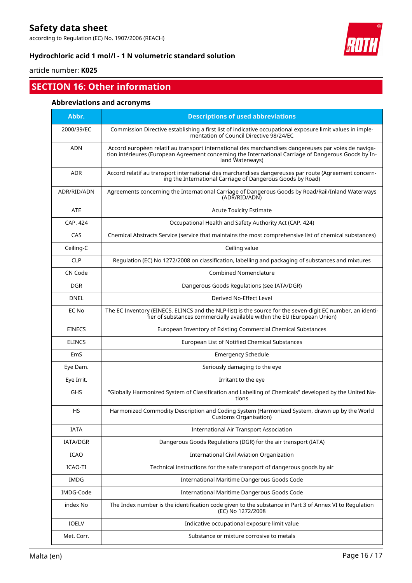according to Regulation (EC) No. 1907/2006 (REACH)



### **Hydrochloric acid 1 mol/l - 1 N volumetric standard solution**

article number: **K025**

# **SECTION 16: Other information**

### **Abbreviations and acronyms**

| Abbr.         | <b>Descriptions of used abbreviations</b>                                                                                                                                                                                       |
|---------------|---------------------------------------------------------------------------------------------------------------------------------------------------------------------------------------------------------------------------------|
| 2000/39/EC    | Commission Directive establishing a first list of indicative occupational exposure limit values in imple-<br>mentation of Council Directive 98/24/EC                                                                            |
| <b>ADN</b>    | Accord européen relatif au transport international des marchandises dangereuses par voies de naviga-<br>tion intérieures (European Agreement concerning the International Carriage of Dangerous Goods by In-<br>land Waterways) |
| <b>ADR</b>    | Accord relatif au transport international des marchandises dangereuses par route (Agreement concern-<br>ing the International Carriage of Dangerous Goods by Road)                                                              |
| ADR/RID/ADN   | Agreements concerning the International Carriage of Dangerous Goods by Road/Rail/Inland Waterways<br>(ADR/RID/ADN)                                                                                                              |
| <b>ATE</b>    | <b>Acute Toxicity Estimate</b>                                                                                                                                                                                                  |
| CAP. 424      | Occupational Health and Safety Authority Act (CAP. 424)                                                                                                                                                                         |
| CAS           | Chemical Abstracts Service (service that maintains the most comprehensive list of chemical substances)                                                                                                                          |
| Ceiling-C     | Ceiling value                                                                                                                                                                                                                   |
| <b>CLP</b>    | Regulation (EC) No 1272/2008 on classification, labelling and packaging of substances and mixtures                                                                                                                              |
| CN Code       | <b>Combined Nomenclature</b>                                                                                                                                                                                                    |
| <b>DGR</b>    | Dangerous Goods Regulations (see IATA/DGR)                                                                                                                                                                                      |
| <b>DNEL</b>   | Derived No-Effect Level                                                                                                                                                                                                         |
| EC No         | The EC Inventory (EINECS, ELINCS and the NLP-list) is the source for the seven-digit EC number, an identi-<br>fier of substances commercially available within the EU (European Union)                                          |
| <b>EINECS</b> | European Inventory of Existing Commercial Chemical Substances                                                                                                                                                                   |
| <b>ELINCS</b> | European List of Notified Chemical Substances                                                                                                                                                                                   |
| EmS           | <b>Emergency Schedule</b>                                                                                                                                                                                                       |
| Eye Dam.      | Seriously damaging to the eye                                                                                                                                                                                                   |
| Eye Irrit.    | Irritant to the eye                                                                                                                                                                                                             |
| GHS           | "Globally Harmonized System of Classification and Labelling of Chemicals" developed by the United Na-<br>tions                                                                                                                  |
| <b>HS</b>     | Harmonized Commodity Description and Coding System (Harmonized System, drawn up by the World<br>Customs Organisation)                                                                                                           |
| <b>IATA</b>   | <b>International Air Transport Association</b>                                                                                                                                                                                  |
| IATA/DGR      | Dangerous Goods Regulations (DGR) for the air transport (IATA)                                                                                                                                                                  |
| ICAO          | International Civil Aviation Organization                                                                                                                                                                                       |
| ICAO-TI       | Technical instructions for the safe transport of dangerous goods by air                                                                                                                                                         |
| <b>IMDG</b>   | International Maritime Dangerous Goods Code                                                                                                                                                                                     |
| IMDG-Code     | International Maritime Dangerous Goods Code                                                                                                                                                                                     |
| index No      | The Index number is the identification code given to the substance in Part 3 of Annex VI to Regulation<br>(EC) No 1272/2008                                                                                                     |
| IOELV         | Indicative occupational exposure limit value                                                                                                                                                                                    |
| Met. Corr.    | Substance or mixture corrosive to metals                                                                                                                                                                                        |